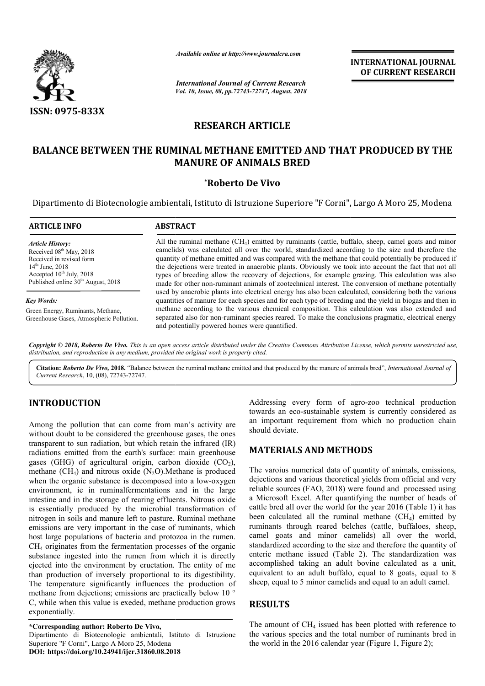

# **RESEARCH ARTICLE**

# BALANCE BETWEEN THE RUMINAL METHANE EMITTED AND THAT PRODUCED BY THE **MANURE OF ANIMALS BRED**

## **\*Roberto De Vivo**

|                                                                                                                                                                                                              | Available online at http://www.journalcra.com<br><b>International Journal of Current Research</b><br>Vol. 10, Issue, 08, pp.72743-72747, August, 2018                                                                                                                                                                                                                                                                                                                                                                                                                                                                                  | <b>INTERNATIONAL JOURNAL</b><br>OF CURRENT RESEARCH |
|--------------------------------------------------------------------------------------------------------------------------------------------------------------------------------------------------------------|----------------------------------------------------------------------------------------------------------------------------------------------------------------------------------------------------------------------------------------------------------------------------------------------------------------------------------------------------------------------------------------------------------------------------------------------------------------------------------------------------------------------------------------------------------------------------------------------------------------------------------------|-----------------------------------------------------|
| <b>ISSN: 0975-833X</b>                                                                                                                                                                                       |                                                                                                                                                                                                                                                                                                                                                                                                                                                                                                                                                                                                                                        |                                                     |
|                                                                                                                                                                                                              | <b>RESEARCH ARTICLE</b>                                                                                                                                                                                                                                                                                                                                                                                                                                                                                                                                                                                                                |                                                     |
|                                                                                                                                                                                                              | <b>BALANCE BETWEEN THE RUMINAL METHANE EMITTED AND THAT PRODUCED BY THE</b><br><b>MANURE OF ANIMALS BRED</b>                                                                                                                                                                                                                                                                                                                                                                                                                                                                                                                           |                                                     |
|                                                                                                                                                                                                              | *Roberto De Vivo                                                                                                                                                                                                                                                                                                                                                                                                                                                                                                                                                                                                                       |                                                     |
|                                                                                                                                                                                                              | Dipartimento di Biotecnologie ambientali, Istituto di Istruzione Superiore "F Corni", Largo A Moro 25, Modena                                                                                                                                                                                                                                                                                                                                                                                                                                                                                                                          |                                                     |
| <b>ARTICLE INFO</b>                                                                                                                                                                                          | <b>ABSTRACT</b>                                                                                                                                                                                                                                                                                                                                                                                                                                                                                                                                                                                                                        |                                                     |
| <b>Article History:</b><br>Received 08 <sup>th</sup> May, 2018<br>Received in revised form<br>$14^{th}$ June, 2018<br>Accepted 10 <sup>th</sup> July, 2018<br>Published online 30 <sup>th</sup> August, 2018 | All the ruminal methane $(CH_4)$ emitted by ruminants (cattle, buffalo, sheep, camel goats and minor<br>camelids) was calculated all over the world, standardized according to the size and therefore the<br>quantity of methane emitted and was compared with the methane that could potentially be produced if<br>the dejections were treated in anaerobic plants. Obviously we took into account the fact that not all<br>types of breeding allow the recovery of dejections, for example grazing. This calculation was also<br>made for other non-ruminant animals of zootechnical interest. The conversion of methane potentially |                                                     |
| <b>Key Words:</b><br>Green Energy, Ruminants, Methane,<br>Greenhouse Gases, Atmospheric Pollution.                                                                                                           | used by anaerobic plants into electrical energy has also been calculated, considering both the various<br>quantities of manure for each species and for each type of breeding and the yield in biogas and then in<br>methane according to the various chemical composition. This calculation was also extended and<br>separated also for non-ruminant species reared. To make the conclusions pragmatic, electrical energy<br>and potentially powered homes were quantified.                                                                                                                                                           |                                                     |
|                                                                                                                                                                                                              | Copyright © 2018, Roberto De Vivo. This is an open access article distributed under the Creative Commons Attribution License, which permits unrestricted use,<br>distribution, and reproduction in any medium, provided the original work is properly cited.                                                                                                                                                                                                                                                                                                                                                                           |                                                     |
|                                                                                                                                                                                                              | Citation: Roberto De Vivo, 2018. "Balance between the ruminal methane emitted and that produced by the manure of animals bred", International Journal of                                                                                                                                                                                                                                                                                                                                                                                                                                                                               |                                                     |

Citation: Roberto De Vivo, 2018. "Balance between the ruminal methane emitted and that produced by the manure of animals bred", *International Journal of Current Research*, 10, (08), 72743-72747.

# **INTRODUCTION**

Among the pollution that can come from man's activity are without doubt to be considered the greenhouse gases, the ones transparent to sun radiation, but which retain the infrared (IR) radiations emitted from the earth's surface: main greenhouse gases (GHG) of agricultural origin, carbon dioxide  $(CO<sub>2</sub>)$ , methane  $(CH<sub>4</sub>)$  and nitrous oxide  $(N<sub>2</sub>O)$ . Methane is produced methane (CH<sub>4</sub>) and nitrous oxide (N<sub>2</sub>O). Methane is produced when the organic substance is decomposed into a low-oxygen environment, ie in ruminalfermentations and in the large intestine and in the storage of rearing effluents. Nitrous oxide is essentially produced by the microbial transformation of nitrogen in soils and manure left to pasture. Ruminal methane emissions are very important in the case of ruminants, which host large populations of bacteria and protozoa in the rumen. CH4 originates from the fermentation processes of the organic substance ingested into the rumen from which it is directly ejected into the environment by eructation. The entity of me than production of inversely proportional to its digestibility. The temperature significantly influences the production of methane from dejections; emissions are practically below 10 ° C, while when this value is exeded, methane production grows exponentially. C, while when this value is exeded, methane production grows<br>exponentially.<br>
\*Corresponding author: Roberto De Vivo,<br>
Dipartimento di Biotecnologie ambientali, Istituto di Istruzione Addressing every form of agro<br>
from man's activity are<br>
an important requirement from y<br>
eenhouse gases, the ones<br>
should deviate.<br>
In retain the infrared (IR)<br>
The varoius numerical data of qua<br>
0.).Methane is produced<br>
o

towards an eco-sustainable system is currently considered as an important requirement from which no production chain should deviate. Addressing every form of agro-zoo technical production

## **MATERIALS AND METHODS METHODS**

The varoius numerical data of quantity of animals, emissions, dejections and various theoretical yields from official and very reliable sources (FAO, 2018) were found and processed using a Microsoft Excel. After quantifying the number of heads of cattle bred all over the world for the year 2016 (Table 1) it has been calculated all the ruminal methane  $(CH<sub>4</sub>)$  emitted by ruminants through reared belches (cattle, buffaloes, sheep, camel goats and minor camelids) all over the world, standardized according to the size and therefore the quantity of enteric methane issued (Table 2). The standardization was accomplished taking an adult bovine calculated as a unit, equivalent to an adult buffalo, equal to 8 goats, equal to 8 sheep, equal to 5 minor camelids and equal to an adult camel. ions and various theoretical yields from official and very<br>le sources (FAO, 2018) were found and processed using<br>rosoft Excel. After quantifying the number of heads of<br>bred all over the world for the year 2016 (Table 1) it **INTERNATIONAL JOURNAL CONTIFIERNATIONAL JOURNAL CONTIFIERNATIONAL CONTIFIEE CONTIFIES ARE CONTIFIED AND THAT PRODUCED BY THE IMALS BRED**<br>**ARTICLE E EMITTED AND THAT PRODUCED BY THE IMALS BRED**<br>**ARTICLE FOR ADMOND THAT PR** 

## **RESULTS**

The amount of  $CH<sub>4</sub>$  issued has been plotted with reference to the various species and the total number of ruminants bred in the world in the 2016 calendar year (Figure 1, Figure 2);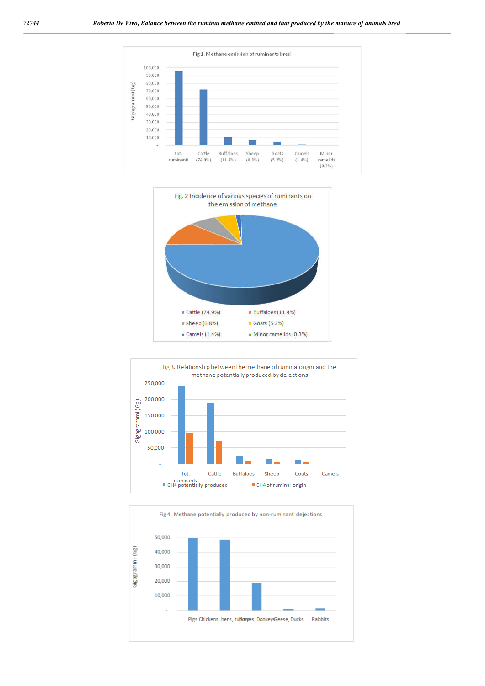





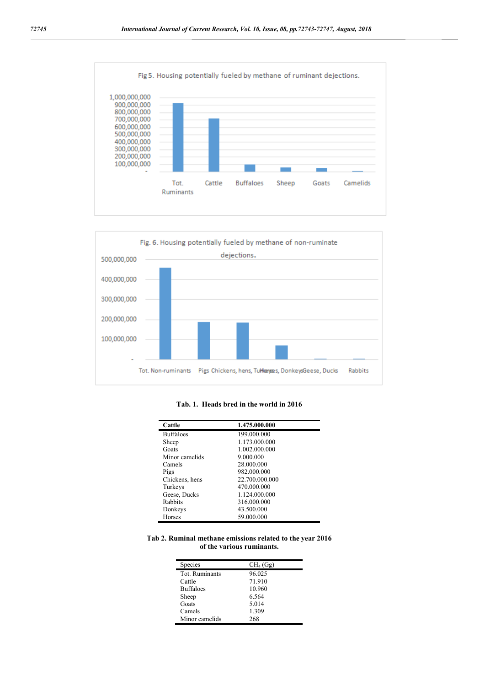



### **Tab. 1. Heads bred in the world in 2016**

| Cattle           | 1.475.000.000  |
|------------------|----------------|
| <b>Buffaloes</b> | 199.000.000    |
| Sheep            | 1.173.000.000  |
| Goats            | 1.002.000.000  |
| Minor camelids   | 9.000.000      |
| Camels           | 28.000.000     |
| Pigs             | 982.000.000    |
| Chickens, hens   | 22.700.000.000 |
| Turkeys          | 470.000.000    |
| Geese, Ducks     | 1.124.000.000  |
| Rabbits          | 316.000.000    |
| Donkeys          | 43.500.000     |
| Horses           | 59.000.000     |

**Tab 2. Ruminal methane emissions related to the year 2016 of the various ruminants.**

| Species          | $CH4$ (Gg) |
|------------------|------------|
| Tot. Ruminants   | 96.025     |
| Cattle           | 71.910     |
| <b>Buffaloes</b> | 10.960     |
| Sheep            | 6.564      |
| Goats            | 5.014      |
| Camels           | 1.309      |
| Minor camelids   | 268        |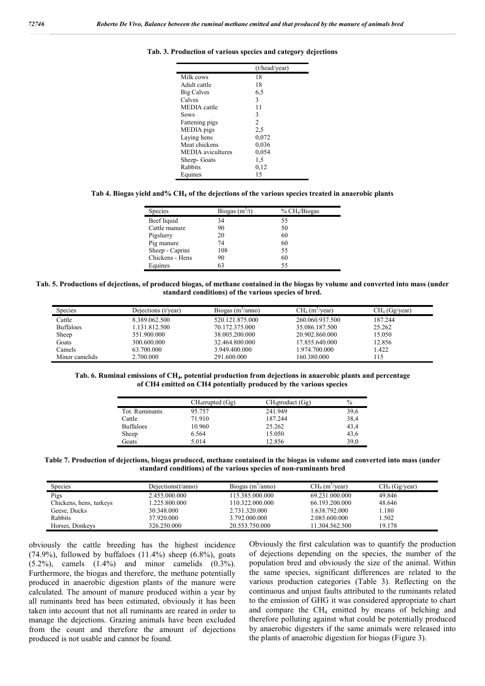|                          | (t/head/year) |
|--------------------------|---------------|
| Milk cows                | 18            |
| Adult cattle             | 18            |
| <b>Big Calves</b>        | 6,5           |
| Calves                   | 3             |
| <b>MEDIA</b> cattle      | 11            |
| Sows                     | 3             |
| Fattening pigs           | 2             |
| MEDIA pigs               | 2,5           |
| Laying hens              | 0,072         |
| Meat chickens            | 0,036         |
| <b>MEDIA</b> avicultures | 0,054         |
| Sheep- Goats             | 1,5           |
| Rabbits                  | 0,12          |
| Equines                  | 15            |

### **Tab. 3. Production of various species and category dejections**

#### **Tab 4. Biogas yield and% CH4 of the dejections of the various species treated in anaerobic plants**

| <b>Species</b>  | Biogas $(m^3/t)$ | % CH <sub>4</sub> /Biogas |
|-----------------|------------------|---------------------------|
| Beef liquid     | 34               | 55                        |
| Cattle manure   | 90               | 50                        |
| Pigslurry       | 20               | 60                        |
| Pig manure      | 74               | 60                        |
| Sheep - Caprini | 108              | 55                        |
| Chickens - Hens | 90               | 60                        |
| Equines         | 63               | 55                        |

#### **Tab. 5. Productions of dejections, of produced biogas, of methane contained in the biogas by volume and converted into mass (under standard conditions) of the various species of bred.**

| <b>Species</b>   | Dejections (t/year) | Biogas $(m^2/anno)$ | $CH4$ (m <sup>3</sup> /year) | CH <sub>4</sub> (Gg/year) |
|------------------|---------------------|---------------------|------------------------------|---------------------------|
| Cattle           | 8.389.062.500       | 520.121.875.000     | 260.060.937.500              | 187.244                   |
| <b>Buffaloes</b> | 1.131.812.500       | 70.172.375.000      | 35.086.187.500               | 25.262                    |
| Sheep            | 351.900.000         | 38.005.200.000      | 20.902.860.000               | 15.050                    |
| Goats            | 300.600.000         | 32.464.800.000      | 17.855.640.000               | 12.856                    |
| Camels           | 63.700.000          | 3.949.400.000       | 1.974.700.000                | 1.422                     |
| Minor camelids   | 2.700.000           | 291.600.000         | 160.380.000                  | 115                       |

**Tab. 6. Ruminal emissions of CH4, potential production from dejections in anaerobic plants and percentage of CH4 emitted on CH4 potentially produced by the various species**

|                  | $CH_4$ erupted $(Gg)$ | $CH_4$ product $(Gg)$ | $\%$ |
|------------------|-----------------------|-----------------------|------|
| Tot. Ruminants   | 95.757                | 241.949               | 39,6 |
| Cattle           | 71.910                | 187.244               | 38,4 |
| <b>Buffaloes</b> | 10.960                | 25.262                | 43,4 |
| Sheep            | 6.564                 | 15.050                | 43,6 |
| Goats            | 5.014                 | 12.856                | 39,0 |

**Table 7. Production of dejections, biogas produced, methane contained in the biogas in volume and converted into mass (under standard conditions) of the various species of non-ruminants bred**

| <b>Species</b>          | Dejections(t/anno) | Biogas $(m^3/anno)$ | $CH4$ (m <sup>3</sup> /year) | CH <sub>4</sub> (Gg/year) |
|-------------------------|--------------------|---------------------|------------------------------|---------------------------|
| Pigs                    | 2.455.000.000      | 115.385.000.000     | 69.231.000.000               | 49.846                    |
| Chickens, hens, turkeys | . 225.800.000      | 110.322.000.000     | 66.193.200.000               | 48.646                    |
| Geese, Ducks            | 30.348.000         | 2.731.320.000       | 1.638.792.000                | 1.180                     |
| Rabbits                 | 37.920.000         | 3.792.000.000       | 2.085.600.000                | .502                      |
| Horses, Donkeys         | 326.250.000        | 20.553.750.000      | 11.304.562.500               | 19.178                    |

obviously the cattle breeding has the highest incidence (74.9%), followed by buffaloes  $(11.4%)$  sheep  $(6.8%)$ , goats (5.2%), camels (1.4%) and minor camelids (0.3%). Furthermore, the biogas and therefore, the methane potentially produced in anaerobic digestion plants of the manure were calculated. The amount of manure produced within a year by all ruminants bred has been estimated, obviously it has been taken into account that not all ruminants are reared in order to manage the dejections. Grazing animals have been excluded from the count and therefore the amount of dejections produced is not usable and cannot be found.

Obviously the first calculation was to quantify the production of dejections depending on the species, the number of the population bred and obviously the size of the animal. Within the same species, significant differences are related to the various production categories (Table 3). Reflecting on the continuous and unjust faults attributed to the ruminants related to the emission of GHG it was considered appropriate to chart and compare the CH4 emitted by means of belching and therefore polluting against what could be potentially produced by anaerobic digesters if the same animals were released into the plants of anaerobic digestion for biogas (Figure 3).